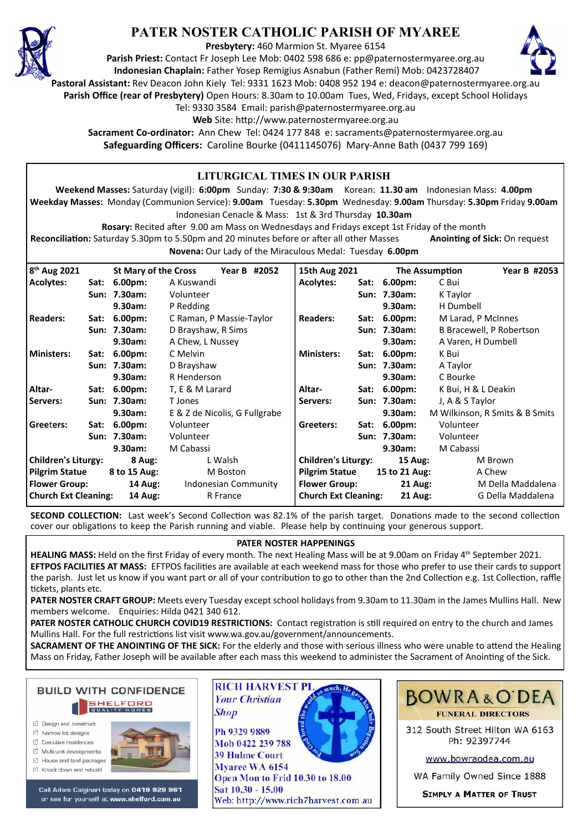

# **PATER NOSTER CATHOLIC PARISH OF MYAREE**

**Presbytery:** 460 Marmion St. Myaree 6154

**Parish Priest:** Contact Fr Joseph Lee Mob: 0402 598 686 e: pp@paternostermyaree.org.au **Indonesian Chaplain:** Father Yosep Remigius Asnabun (Father Remi) Mob: 0423728407



**Pastoral Assistant:** Rev Deacon John Kiely Tel: 9331 1623 Mob: 0408 952 194 e: deacon@paternostermyaree.org.au

**Parish Office (rear of Presbytery)** Open Hours: 8.30am to 10.00am Tues, Wed, Fridays, except School Holidays

Tel: 9330 3584 Email: parish@paternostermyaree.org.au

Web Site: http://www.paternostermyaree.org.au

**Sacrament Co-ordinator:** Ann Chew Tel: 0424 177 848 e: sacraments@paternostermyaree.org.au **Safeguarding Officers:** Caroline Bourke (0411145076) Mary-Anne Bath (0437 799 169)

#### **LITURGICAL TIMES IN OUR PARISH Weekend Masses:** Saturday (vigil): **6:00pm** Sunday: **7:30 & 9:30am** Korean: **11.30 am** Indonesian Mass: **4.00pm Weekday Masses:** Monday (Communion Service): **9.00am** Tuesday: **5.30pm** Wednesday: **9.00am** Thursday: **5.30pm** Friday **9.00am** Indonesian Cenacle & Mass: 1st & 3rd Thursday **10.30am Rosary:** Recited a�er 9.00 am Mass on Wednesdays and Fridays except 1st Friday of the month Reconciliation: Saturday 5.30pm to 5.50pm and 20 minutes before or after all other Masses **Anointing of Sick:** On request **Novena:** Our Lady of the Miraculous Medal: Tuesday **6.00pm** 15th Aug 2021 The Assumption Year B #2053 **Acolytes: Sat: 6.00pm:** C Bui **Sun: 7.30am:** K Taylor **9.30am:** H Dumbell **Readers: Sat: 6.00pm:** M Larad, P McInnes **Sun: 7.30am:** B Bracewell, P Robertson **9.30am:** A Varen, H Dumbell **Ministers: Sat: 6.00pm:** K Bui **Sun: 7.30am:** A Taylor **9.30am:** C Bourke **Altar- Sat: 6.00pm:** K Bui, H & L Deakin **Servers: Sun: 7.30am:** J, A & S Taylor **9.30am:** M Wilkinson, R Smits & B Smits **Greeters: Sat: 6.00pm:** Volunteer **Sun: 7.30am:** Volunteer 8<sup>th</sup> Aug 2021 **th Aug 2021 St Mary of the Cross Year B #2052 Acolytes: Sat: 6.00pm:** A Kuswandi **Sun: 7.30am:** Volunteer **9.30am:** P Redding **Readers: Sat: 6.00pm:** C Raman, P Massie-Taylor **Sun: 7.30am:** D Brayshaw, R Sims **9.30am:** A Chew, L Nussey **Ministers: Sat: 6.00pm:** C Melvin **Sun: 7.30am:** D Brayshaw **9.30am:** R Henderson **Altar- Sat: 6.00pm:** T, E & M Larard **Servers: Sun: 7.30am:** T Jones **9.30am:** E & Z de Nicolis, G Fullgrabe **Gree**t**ers: Sat: 6.00pm:** Volunteer **Sun: 7.30am:** Volunteer

**9.30am:** M Cabassi **Children's Liturgy: 15 Aug:** M Brown **Pilgrim Statue 15 to 21 Aug:** A Chew **Flower Group:** 21 Aug: M Della Maddalena **Church Ext Cleaning: 21 Aug:** G Della Maddalena **Children's Liturgy: 8 Aug:** L Walsh **Pilgrim Statue 8 to 15 Aug:** M Boston **Flower Group: 14 Aug:** Indonesian Community **Church Ext Cleaning: 14 Aug:** R France

**SECOND COLLECTION:** Last week's Second Collection was 82.1% of the parish target. Donations made to the second collection cover our obligations to keep the Parish running and viable. Please help by continuing your generous support.

#### **PATER NOSTER HAPPENINGS**

**HEALING MASS:** Held on the first Friday of every month. The next Healing Mass will be at 9.00am on Friday 4<sup>th</sup> September 2021. **EFTPOS FACILITIES AT MASS:** EFTPOS facilities are available at each weekend mass for those who prefer to use their cards to support the parish. Just let us know if you want part or all of your contribution to go to other than the 2nd Collection e.g. 1st Collection, raffle �ckets, plants etc.

**PATER NOSTER CRAFT GROUP:** Meets every Tuesday except school holidays from 9.30am to 11.30am in the James Mullins Hall. New members welcome. Enquiries: Hilda 0421 340 612.

PATER NOSTER CATHOLIC CHURCH COVID19 RESTRICTIONS: Contact registration is still required on entry to the church and James Mullins Hall. For the full restrictions list visit www.wa.gov.au/government/announcements.

**SACRAMENT OF THE ANOINTING OF THE SICK:** For the elderly and those with serious illness who were unable to attend the Healing Mass on Friday, Father Joseph will be available after each mass this weekend to administer the Sacrament of Anointing of the Sick.



- □ Design and construct
- $\triangledown$  Narrow lot designe  $\triangledown$  Executive residences
- $\overrightarrow{2}$  Multi-unit developments
- M House and land packages
- ☑ Knock down and rebuild



**9.30am:** M Cabassi

Call Adam Calginari today on 0419 929 961 or see for yourself at www.shelford.com.au

**RICH HARVEST PL Your Christian Shop** 

Ph 9329 9889 Mob 0422 239 788 **39 Hulme Court** Mvaree WA 6154 Open Mon to Frid 10.30 to 18.00 Sat 10.30 - 15.00 Web: http://www.rich7harvest.com.au





312 South Street Hilton WA 6163 Ph: 92397744

www.bowraodea.com.au

WA Family Owned Since 1888

**SIMPLY A MATTER OF TRUST**